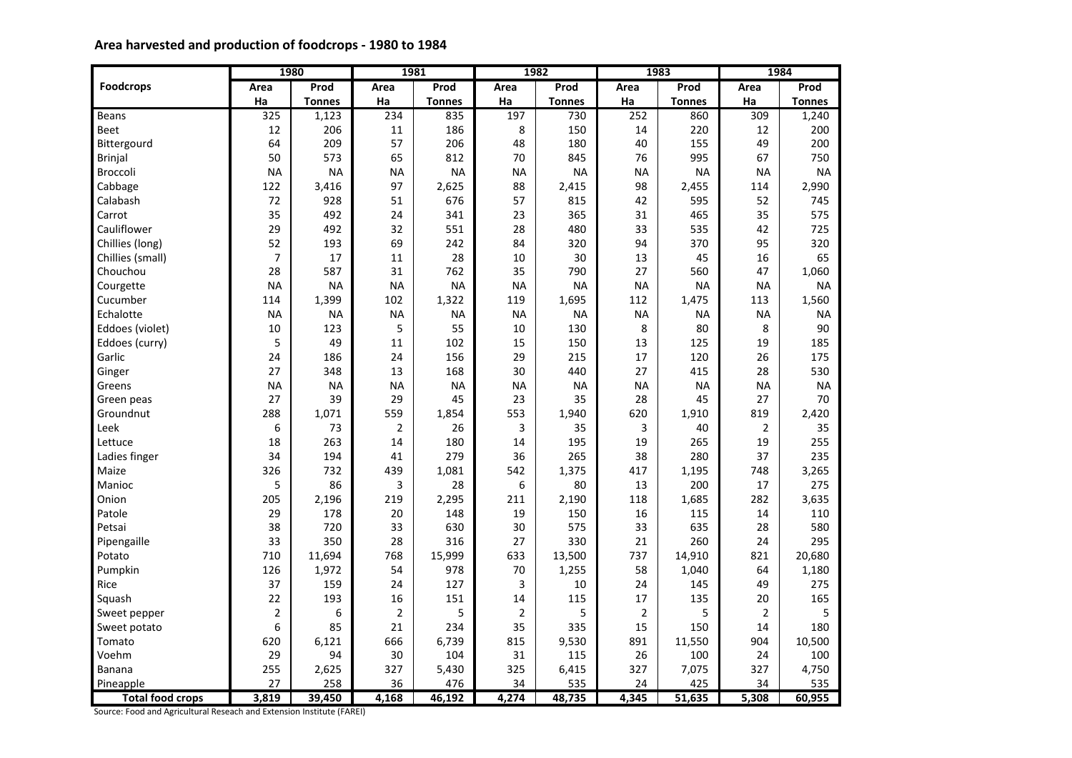# **Area harvested and production of foodcrops - 1980 to 1984**

|                         |                | 1980          | 1981           |               |                | 1982          |                | 1983          |                | 1984          |
|-------------------------|----------------|---------------|----------------|---------------|----------------|---------------|----------------|---------------|----------------|---------------|
| <b>Foodcrops</b>        | Area           | Prod          | Area           | Prod          | Area           | Prod          | Area           | Prod          | Area           | Prod          |
|                         | Ha             | <b>Tonnes</b> | Ha             | <b>Tonnes</b> | Ha             | <b>Tonnes</b> | Ha             | <b>Tonnes</b> | Ha             | <b>Tonnes</b> |
| Beans                   | 325            | 1,123         | 234            | 835           | 197            | 730           | 252            | 860           | 309            | 1,240         |
| Beet                    | 12             | 206           | 11             | 186           | 8              | 150           | 14             | 220           | 12             | 200           |
| Bittergourd             | 64             | 209           | 57             | 206           | 48             | 180           | 40             | 155           | 49             | 200           |
| <b>Brinjal</b>          | 50             | 573           | 65             | 812           | 70             | 845           | 76             | 995           | 67             | 750           |
| <b>Broccoli</b>         | <b>NA</b>      | <b>NA</b>     | <b>NA</b>      | <b>NA</b>     | <b>NA</b>      | <b>NA</b>     | <b>NA</b>      | <b>NA</b>     | <b>NA</b>      | <b>NA</b>     |
| Cabbage                 | 122            | 3,416         | 97             | 2,625         | 88             | 2,415         | 98             | 2,455         | 114            | 2,990         |
| Calabash                | 72             | 928           | 51             | 676           | 57             | 815           | 42             | 595           | 52             | 745           |
| Carrot                  | 35             | 492           | 24             | 341           | 23             | 365           | 31             | 465           | 35             | 575           |
| Cauliflower             | 29             | 492           | 32             | 551           | 28             | 480           | 33             | 535           | 42             | 725           |
| Chillies (long)         | 52             | 193           | 69             | 242           | 84             | 320           | 94             | 370           | 95             | 320           |
| Chillies (small)        | $\overline{7}$ | 17            | 11             | 28            | 10             | 30            | 13             | 45            | 16             | 65            |
| Chouchou                | 28             | 587           | 31             | 762           | 35             | 790           | 27             | 560           | 47             | 1,060         |
| Courgette               | <b>NA</b>      | <b>NA</b>     | <b>NA</b>      | <b>NA</b>     | <b>NA</b>      | <b>NA</b>     | <b>NA</b>      | <b>NA</b>     | <b>NA</b>      | <b>NA</b>     |
| Cucumber                | 114            | 1,399         | 102            | 1,322         | 119            | 1,695         | 112            | 1,475         | 113            | 1,560         |
| Echalotte               | <b>NA</b>      | <b>NA</b>     | <b>NA</b>      | <b>NA</b>     | <b>NA</b>      | <b>NA</b>     | <b>NA</b>      | <b>NA</b>     | <b>NA</b>      | <b>NA</b>     |
| Eddoes (violet)         | 10             | 123           | 5              | 55            | 10             | 130           | 8              | 80            | 8              | 90            |
| Eddoes (curry)          | 5              | 49            | 11             | 102           | 15             | 150           | 13             | 125           | 19             | 185           |
| Garlic                  | 24             | 186           | 24             | 156           | 29             | 215           | 17             | 120           | 26             | 175           |
| Ginger                  | 27             | 348           | 13             | 168           | 30             | 440           | 27             | 415           | 28             | 530           |
| Greens                  | <b>NA</b>      | <b>NA</b>     | <b>NA</b>      | <b>NA</b>     | <b>NA</b>      | <b>NA</b>     | <b>NA</b>      | <b>NA</b>     | <b>NA</b>      | <b>NA</b>     |
| Green peas              | 27             | 39            | 29             | 45            | 23             | 35            | 28             | 45            | 27             | 70            |
| Groundnut               | 288            | 1,071         | 559            | 1,854         | 553            | 1,940         | 620            | 1,910         | 819            | 2,420         |
| Leek                    | 6              | 73            | $\overline{2}$ | 26            | 3              | 35            | 3              | 40            | $\overline{2}$ | 35            |
| Lettuce                 | 18             | 263           | 14             | 180           | 14             | 195           | 19             | 265           | 19             | 255           |
| Ladies finger           | 34             | 194           | 41             | 279           | 36             | 265           | 38             | 280           | 37             | 235           |
| Maize                   | 326            | 732           | 439            | 1,081         | 542            | 1,375         | 417            | 1,195         | 748            | 3,265         |
| Manioc                  | 5              | 86            | 3              | 28            | 6              | 80            | 13             | 200           | 17             | 275           |
| Onion                   | 205            | 2,196         | 219            | 2,295         | 211            | 2,190         | 118            | 1,685         | 282            | 3,635         |
| Patole                  | 29             | 178           | 20             | 148           | 19             | 150           | 16             | 115           | 14             | 110           |
| Petsai                  | 38             | 720           | 33             | 630           | 30             | 575           | 33             | 635           | 28             | 580           |
| Pipengaille             | 33             | 350           | 28             | 316           | 27             | 330           | 21             | 260           | 24             | 295           |
| Potato                  | 710            | 11,694        | 768            | 15,999        | 633            | 13,500        | 737            | 14,910        | 821            | 20,680        |
| Pumpkin                 | 126            | 1,972         | 54             | 978           | 70             | 1,255         | 58             | 1,040         | 64             | 1,180         |
| Rice                    | 37             | 159           | 24             | 127           | 3              | 10            | 24             | 145           | 49             | 275           |
| Squash                  | 22             | 193           | 16             | 151           | 14             | 115           | 17             | 135           | 20             | 165           |
| Sweet pepper            | $\overline{2}$ | 6             | $\overline{2}$ | 5             | $\overline{2}$ | 5             | $\overline{2}$ | 5             | $\overline{2}$ | 5             |
| Sweet potato            | 6              | 85            | 21             | 234           | 35             | 335           | 15             | 150           | 14             | 180           |
| Tomato                  | 620            | 6,121         | 666            | 6,739         | 815            | 9,530         | 891            | 11,550        | 904            | 10,500        |
| Voehm                   | 29             | 94            | 30             | 104           | 31             | 115           | 26             | 100           | 24             | 100           |
| <b>Banana</b>           | 255            | 2,625         | 327            | 5,430         | 325            | 6,415         | 327            | 7,075         | 327            | 4,750         |
| Pineapple               | 27             | 258           | 36             | 476           | 34             | 535           | 24             | 425           | 34             | 535           |
| <b>Total food crops</b> | 3,819          | 39,450        | 4,168          | 46,192        | 4,274          | 48,735        | 4,345          | 51,635        | 5,308          | 60,955        |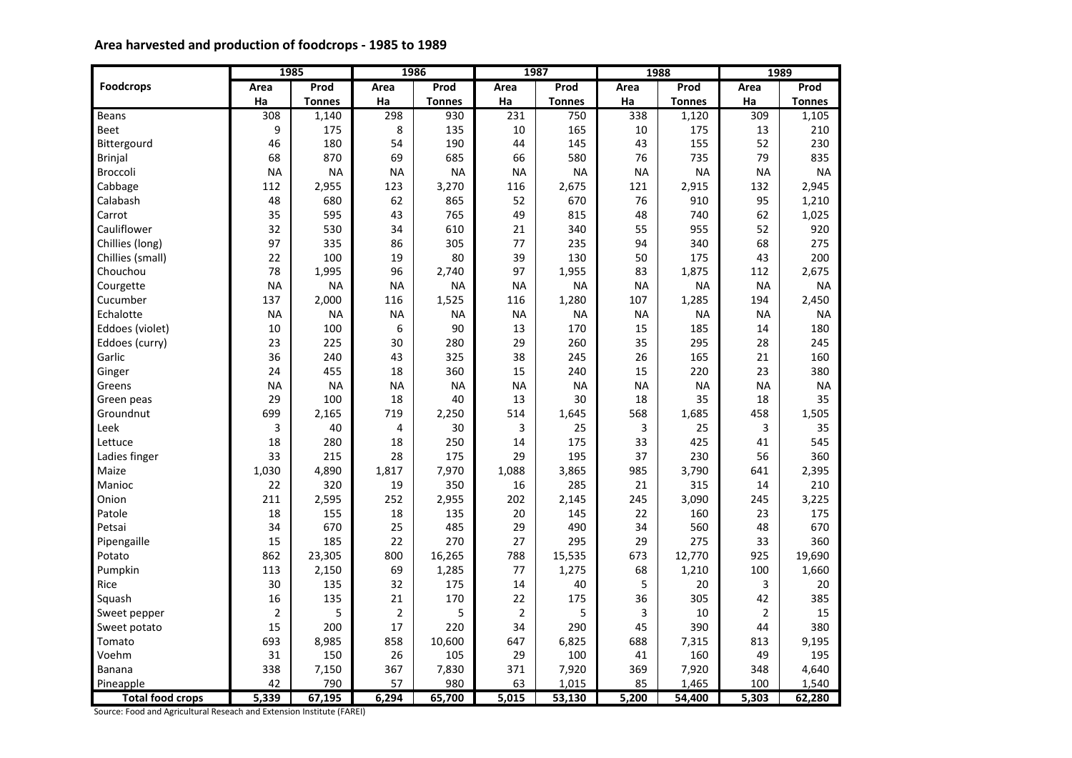# **Area harvested and production of foodcrops - 1985 to 1989**

|                         |                | 1985          | 1986           |               |                | 1987          |           | 1988          |                | 1989          |
|-------------------------|----------------|---------------|----------------|---------------|----------------|---------------|-----------|---------------|----------------|---------------|
| <b>Foodcrops</b>        | Area           | Prod          | Area           | Prod          | Area           | Prod          | Area      | Prod          | Area           | Prod          |
|                         | Ha             | <b>Tonnes</b> | Ha             | <b>Tonnes</b> | Ha             | <b>Tonnes</b> | Ha        | <b>Tonnes</b> | Ha             | <b>Tonnes</b> |
| Beans                   | 308            | 1,140         | 298            | 930           | 231            | 750           | 338       | 1,120         | 309            | 1,105         |
| Beet                    | 9              | 175           | 8              | 135           | 10             | 165           | 10        | 175           | 13             | 210           |
| Bittergourd             | 46             | 180           | 54             | 190           | 44             | 145           | 43        | 155           | 52             | 230           |
| <b>Brinjal</b>          | 68             | 870           | 69             | 685           | 66             | 580           | 76        | 735           | 79             | 835           |
| <b>Broccoli</b>         | <b>NA</b>      | <b>NA</b>     | <b>NA</b>      | <b>NA</b>     | <b>NA</b>      | <b>NA</b>     | <b>NA</b> | <b>NA</b>     | <b>NA</b>      | <b>NA</b>     |
| Cabbage                 | 112            | 2,955         | 123            | 3,270         | 116            | 2,675         | 121       | 2,915         | 132            | 2,945         |
| Calabash                | 48             | 680           | 62             | 865           | 52             | 670           | 76        | 910           | 95             | 1,210         |
| Carrot                  | 35             | 595           | 43             | 765           | 49             | 815           | 48        | 740           | 62             | 1,025         |
| Cauliflower             | 32             | 530           | 34             | 610           | 21             | 340           | 55        | 955           | 52             | 920           |
| Chillies (long)         | 97             | 335           | 86             | 305           | 77             | 235           | 94        | 340           | 68             | 275           |
| Chillies (small)        | 22             | 100           | 19             | 80            | 39             | 130           | 50        | 175           | 43             | 200           |
| Chouchou                | 78             | 1,995         | 96             | 2,740         | 97             | 1,955         | 83        | 1,875         | 112            | 2,675         |
| Courgette               | <b>NA</b>      | <b>NA</b>     | <b>NA</b>      | <b>NA</b>     | <b>NA</b>      | <b>NA</b>     | <b>NA</b> | <b>NA</b>     | <b>NA</b>      | <b>NA</b>     |
| Cucumber                | 137            | 2,000         | 116            | 1,525         | 116            | 1,280         | 107       | 1,285         | 194            | 2,450         |
| Echalotte               | <b>NA</b>      | <b>NA</b>     | <b>NA</b>      | <b>NA</b>     | <b>NA</b>      | <b>NA</b>     | <b>NA</b> | <b>NA</b>     | <b>NA</b>      | <b>NA</b>     |
| Eddoes (violet)         | 10             | 100           | 6              | 90            | 13             | 170           | 15        | 185           | 14             | 180           |
| Eddoes (curry)          | 23             | 225           | 30             | 280           | 29             | 260           | 35        | 295           | 28             | 245           |
| Garlic                  | 36             | 240           | 43             | 325           | 38             | 245           | 26        | 165           | 21             | 160           |
| Ginger                  | 24             | 455           | 18             | 360           | 15             | 240           | 15        | 220           | 23             | 380           |
| Greens                  | <b>NA</b>      | <b>NA</b>     | <b>NA</b>      | <b>NA</b>     | <b>NA</b>      | <b>NA</b>     | <b>NA</b> | <b>NA</b>     | <b>NA</b>      | <b>NA</b>     |
| Green peas              | 29             | 100           | 18             | 40            | 13             | 30            | 18        | 35            | 18             | 35            |
| Groundnut               | 699            | 2,165         | 719            | 2,250         | 514            | 1,645         | 568       | 1,685         | 458            | 1,505         |
| Leek                    | 3              | 40            | 4              | 30            | 3              | 25            | 3         | 25            | 3              | 35            |
| Lettuce                 | 18             | 280           | 18             | 250           | 14             | 175           | 33        | 425           | 41             | 545           |
| Ladies finger           | 33             | 215           | 28             | 175           | 29             | 195           | 37        | 230           | 56             | 360           |
| Maize                   | 1,030          | 4,890         | 1,817          | 7,970         | 1,088          | 3,865         | 985       | 3,790         | 641            | 2,395         |
| Manioc                  | 22             | 320           | 19             | 350           | 16             | 285           | 21        | 315           | 14             | 210           |
| Onion                   | 211            | 2,595         | 252            | 2,955         | 202            | 2,145         | 245       | 3,090         | 245            | 3,225         |
| Patole                  | 18             | 155           | 18             | 135           | 20             | 145           | 22        | 160           | 23             | 175           |
| Petsai                  | 34             | 670           | 25             | 485           | 29             | 490           | 34        | 560           | 48             | 670           |
| Pipengaille             | 15             | 185           | 22             | 270           | 27             | 295           | 29        | 275           | 33             | 360           |
| Potato                  | 862            | 23,305        | 800            | 16,265        | 788            | 15,535        | 673       | 12,770        | 925            | 19,690        |
| Pumpkin                 | 113            | 2,150         | 69             | 1,285         | 77             | 1,275         | 68        | 1,210         | 100            | 1,660         |
| Rice                    | 30             | 135           | 32             | 175           | 14             | 40            | 5         | 20            | 3              | 20            |
| Squash                  | 16             | 135           | 21             | 170           | 22             | 175           | 36        | 305           | 42             | 385           |
| Sweet pepper            | $\overline{2}$ | 5             | $\overline{2}$ | 5             | $\overline{2}$ | 5             | 3         | 10            | $\overline{2}$ | 15            |
| Sweet potato            | 15             | 200           | 17             | 220           | 34             | 290           | 45        | 390           | 44             | 380           |
| Tomato                  | 693            | 8,985         | 858            | 10,600        | 647            | 6,825         | 688       | 7,315         | 813            | 9,195         |
| Voehm                   | 31             | 150           | 26             | 105           | 29             | 100           | 41        | 160           | 49             | 195           |
| <b>Banana</b>           | 338            | 7,150         | 367            | 7,830         | 371            | 7,920         | 369       | 7,920         | 348            | 4,640         |
| Pineapple               | 42             | 790           | 57             | 980           | 63             | 1,015         | 85        | 1,465         | 100            | 1,540         |
| <b>Total food crops</b> | 5,339          | 67,195        | 6,294          | 65,700        | 5,015          | 53,130        | 5,200     | 54,400        | 5,303          | 62,280        |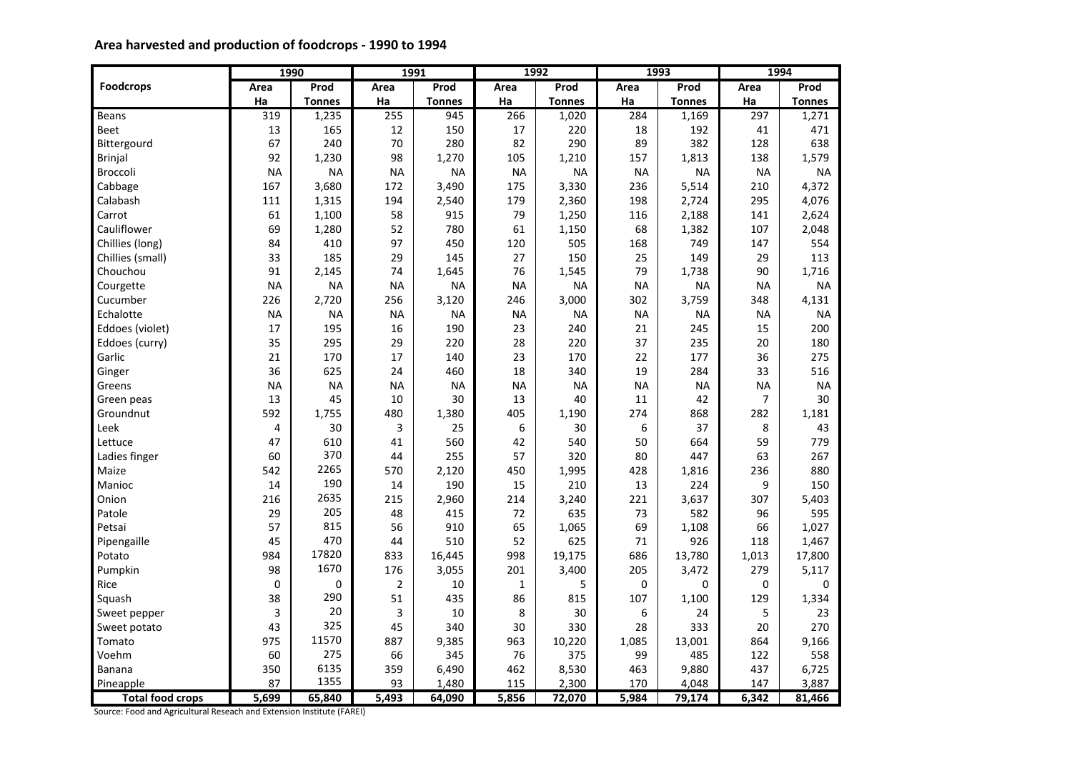# **Area harvested and production of foodcrops - 1990 to 1994**

|                         |                | 1990          |                | 1991          |              | 1992          |           | 1993          |                | 1994          |
|-------------------------|----------------|---------------|----------------|---------------|--------------|---------------|-----------|---------------|----------------|---------------|
| <b>Foodcrops</b>        | Area           | Prod          | Area           | Prod          | Area         | Prod          | Area      | Prod          | Area           | Prod          |
|                         | Ha             | <b>Tonnes</b> | Ha             | <b>Tonnes</b> | Ha           | <b>Tonnes</b> | Ha        | <b>Tonnes</b> | Ha             | <b>Tonnes</b> |
| <b>Beans</b>            | 319            | 1,235         | 255            | 945           | 266          | 1,020         | 284       | 1,169         | 297            | 1,271         |
| Beet                    | 13             | 165           | 12             | 150           | 17           | 220           | 18        | 192           | 41             | 471           |
| Bittergourd             | 67             | 240           | 70             | 280           | 82           | 290           | 89        | 382           | 128            | 638           |
| <b>Brinjal</b>          | 92             | 1,230         | 98             | 1,270         | 105          | 1,210         | 157       | 1,813         | 138            | 1,579         |
| Broccoli                | <b>NA</b>      | <b>NA</b>     | <b>NA</b>      | <b>NA</b>     | <b>NA</b>    | <b>NA</b>     | <b>NA</b> | <b>NA</b>     | <b>NA</b>      | <b>NA</b>     |
| Cabbage                 | 167            | 3,680         | 172            | 3,490         | 175          | 3,330         | 236       | 5,514         | 210            | 4,372         |
| Calabash                | 111            | 1,315         | 194            | 2,540         | 179          | 2,360         | 198       | 2,724         | 295            | 4,076         |
| Carrot                  | 61             | 1,100         | 58             | 915           | 79           | 1,250         | 116       | 2,188         | 141            | 2,624         |
| Cauliflower             | 69             | 1,280         | 52             | 780           | 61           | 1,150         | 68        | 1,382         | 107            | 2,048         |
| Chillies (long)         | 84             | 410           | 97             | 450           | 120          | 505           | 168       | 749           | 147            | 554           |
| Chillies (small)        | 33             | 185           | 29             | 145           | 27           | 150           | 25        | 149           | 29             | 113           |
| Chouchou                | 91             | 2,145         | 74             | 1,645         | 76           | 1,545         | 79        | 1,738         | 90             | 1,716         |
| Courgette               | <b>NA</b>      | <b>NA</b>     | <b>NA</b>      | <b>NA</b>     | <b>NA</b>    | <b>NA</b>     | <b>NA</b> | <b>NA</b>     | <b>NA</b>      | <b>NA</b>     |
| Cucumber                | 226            | 2,720         | 256            | 3,120         | 246          | 3,000         | 302       | 3,759         | 348            | 4,131         |
| Echalotte               | <b>NA</b>      | <b>NA</b>     | <b>NA</b>      | <b>NA</b>     | <b>NA</b>    | <b>NA</b>     | <b>NA</b> | <b>NA</b>     | <b>NA</b>      | <b>NA</b>     |
| Eddoes (violet)         | 17             | 195           | 16             | 190           | 23           | 240           | 21        | 245           | 15             | 200           |
| Eddoes (curry)          | 35             | 295           | 29             | 220           | 28           | 220           | 37        | 235           | 20             | 180           |
| Garlic                  | 21             | 170           | 17             | 140           | 23           | 170           | 22        | 177           | 36             | 275           |
| Ginger                  | 36             | 625           | 24             | 460           | 18           | 340           | 19        | 284           | 33             | 516           |
| Greens                  | <b>NA</b>      | <b>NA</b>     | <b>NA</b>      | <b>NA</b>     | <b>NA</b>    | <b>NA</b>     | NA        | <b>NA</b>     | <b>NA</b>      | <b>NA</b>     |
| Green peas              | 13             | 45            | 10             | 30            | 13           | 40            | 11        | 42            | $\overline{7}$ | 30            |
| Groundnut               | 592            | 1,755         | 480            | 1,380         | 405          | 1,190         | 274       | 868           | 282            | 1,181         |
| Leek                    | $\overline{4}$ | 30            | 3              | 25            | 6            | 30            | 6         | 37            | 8              | 43            |
| Lettuce                 | 47             | 610           | 41             | 560           | 42           | 540           | 50        | 664           | 59             | 779           |
| Ladies finger           | 60             | 370           | 44             | 255           | 57           | 320           | 80        | 447           | 63             | 267           |
| Maize                   | 542            | 2265          | 570            | 2,120         | 450          | 1,995         | 428       | 1,816         | 236            | 880           |
| Manioc                  | 14             | 190           | 14             | 190           | 15           | 210           | 13        | 224           | 9              | 150           |
| Onion                   | 216            | 2635          | 215            | 2,960         | 214          | 3,240         | 221       | 3,637         | 307            | 5,403         |
| Patole                  | 29             | 205           | 48             | 415           | 72           | 635           | 73        | 582           | 96             | 595           |
| Petsai                  | 57             | 815           | 56             | 910           | 65           | 1,065         | 69        | 1,108         | 66             | 1,027         |
| Pipengaille             | 45             | 470           | 44             | 510           | 52           | 625           | 71        | 926           | 118            | 1,467         |
| Potato                  | 984            | 17820         | 833            | 16,445        | 998          | 19,175        | 686       | 13,780        | 1,013          | 17,800        |
| Pumpkin                 | 98             | 1670          | 176            | 3,055         | 201          | 3,400         | 205       | 3,472         | 279            | 5,117         |
| Rice                    | $\mathbf 0$    | 0             | $\overline{2}$ | 10            | $\mathbf{1}$ | 5             | 0         | 0             | $\Omega$       | $\mathbf 0$   |
| Squash                  | 38             | 290           | 51             | 435           | 86           | 815           | 107       | 1,100         | 129            | 1,334         |
| Sweet pepper            | 3              | 20            | 3              | 10            | 8            | 30            | 6         | 24            | 5              | 23            |
| Sweet potato            | 43             | 325           | 45             | 340           | 30           | 330           | 28        | 333           | 20             | 270           |
| Tomato                  | 975            | 11570         | 887            | 9,385         | 963          | 10,220        | 1,085     | 13,001        | 864            | 9,166         |
| Voehm                   | 60             | 275           | 66             | 345           | 76           | 375           | 99        | 485           | 122            | 558           |
| <b>Banana</b>           | 350            | 6135          | 359            | 6,490         | 462          | 8,530         | 463       | 9,880         | 437            | 6,725         |
| Pineapple               | 87             | 1355          | 93             | 1,480         | 115          | 2,300         | 170       | 4,048         | 147            | 3,887         |
| <b>Total food crops</b> | 5,699          | 65,840        | 5,493          | 64,090        | 5,856        | 72,070        | 5,984     | 79,174        | 6,342          | 81,466        |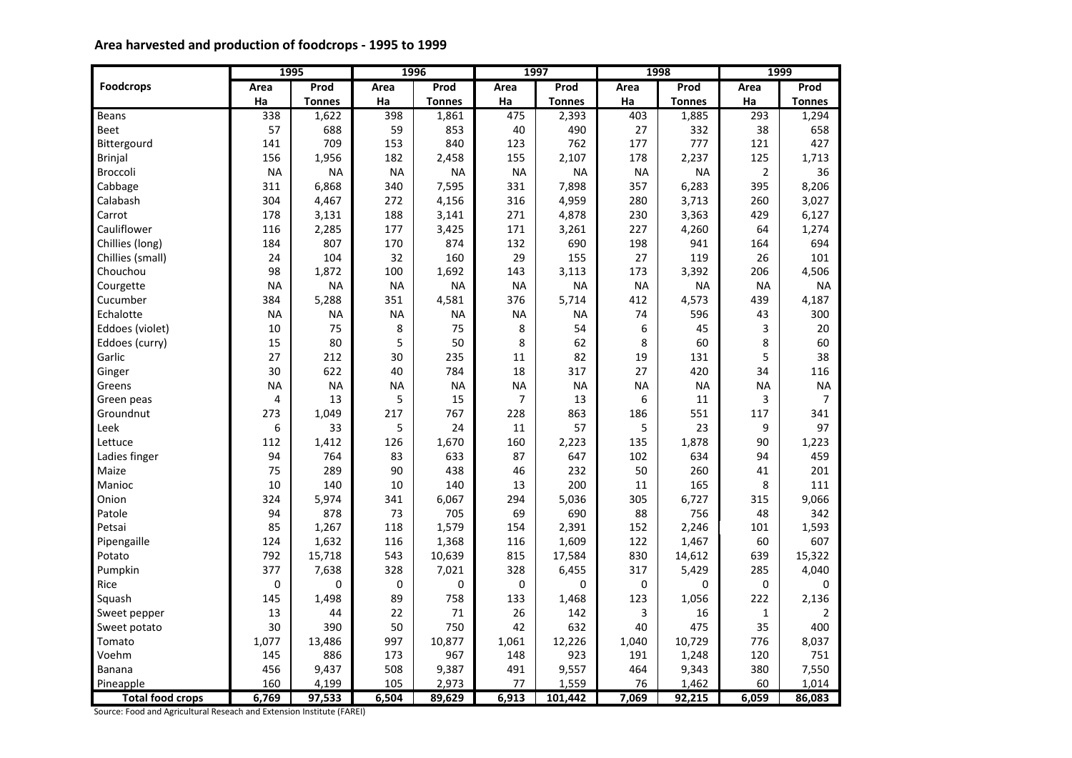# **Area harvested and production of foodcrops - 1995 to 1999**

|                         |           | 1995          |           | 1996          |                | 1997          |           | 1998          |                | 1999           |
|-------------------------|-----------|---------------|-----------|---------------|----------------|---------------|-----------|---------------|----------------|----------------|
| <b>Foodcrops</b>        | Area      | Prod          | Area      | Prod          | Area           | Prod          | Area      | Prod          | Area           | Prod           |
|                         | Ha        | <b>Tonnes</b> | Ha        | <b>Tonnes</b> | Ha             | <b>Tonnes</b> | Ha        | <b>Tonnes</b> | Ha             | <b>Tonnes</b>  |
| Beans                   | 338       | 1,622         | 398       | 1,861         | 475            | 2,393         | 403       | 1,885         | 293            | 1,294          |
| Beet                    | 57        | 688           | 59        | 853           | 40             | 490           | 27        | 332           | 38             | 658            |
| Bittergourd             | 141       | 709           | 153       | 840           | 123            | 762           | 177       | 777           | 121            | 427            |
| <b>Brinjal</b>          | 156       | 1,956         | 182       | 2,458         | 155            | 2,107         | 178       | 2,237         | 125            | 1,713          |
| Broccoli                | <b>NA</b> | <b>NA</b>     | <b>NA</b> | <b>NA</b>     | <b>NA</b>      | <b>NA</b>     | <b>NA</b> | <b>NA</b>     | $\overline{2}$ | 36             |
| Cabbage                 | 311       | 6,868         | 340       | 7,595         | 331            | 7,898         | 357       | 6,283         | 395            | 8,206          |
| Calabash                | 304       | 4,467         | 272       | 4,156         | 316            | 4,959         | 280       | 3,713         | 260            | 3,027          |
| Carrot                  | 178       | 3,131         | 188       | 3,141         | 271            | 4,878         | 230       | 3,363         | 429            | 6,127          |
| Cauliflower             | 116       | 2,285         | 177       | 3,425         | 171            | 3,261         | 227       | 4,260         | 64             | 1,274          |
| Chillies (long)         | 184       | 807           | 170       | 874           | 132            | 690           | 198       | 941           | 164            | 694            |
| Chillies (small)        | 24        | 104           | 32        | 160           | 29             | 155           | 27        | 119           | 26             | 101            |
| Chouchou                | 98        | 1,872         | 100       | 1,692         | 143            | 3,113         | 173       | 3,392         | 206            | 4,506          |
| Courgette               | <b>NA</b> | <b>NA</b>     | <b>NA</b> | <b>NA</b>     | <b>NA</b>      | <b>NA</b>     | <b>NA</b> | <b>NA</b>     | <b>NA</b>      | <b>NA</b>      |
| Cucumber                | 384       | 5,288         | 351       | 4,581         | 376            | 5,714         | 412       | 4,573         | 439            | 4,187          |
| Echalotte               | <b>NA</b> | <b>NA</b>     | <b>NA</b> | <b>NA</b>     | <b>NA</b>      | NA            | 74        | 596           | 43             | 300            |
| Eddoes (violet)         | 10        | 75            | 8         | 75            | 8              | 54            | 6         | 45            | 3              | 20             |
| Eddoes (curry)          | 15        | 80            | 5         | 50            | 8              | 62            | 8         | 60            | 8              | 60             |
| Garlic                  | 27        | 212           | 30        | 235           | 11             | 82            | 19        | 131           | 5              | 38             |
| Ginger                  | 30        | 622           | 40        | 784           | 18             | 317           | 27        | 420           | 34             | 116            |
| Greens                  | <b>NA</b> | <b>NA</b>     | <b>NA</b> | <b>NA</b>     | <b>NA</b>      | <b>NA</b>     | <b>NA</b> | <b>NA</b>     | <b>NA</b>      | <b>NA</b>      |
| Green peas              | 4         | 13            | 5         | 15            | $\overline{7}$ | 13            | 6         | 11            | 3              | $\overline{7}$ |
| Groundnut               | 273       | 1,049         | 217       | 767           | 228            | 863           | 186       | 551           | 117            | 341            |
| Leek                    | 6         | 33            | 5         | 24            | 11             | 57            | 5         | 23            | 9              | 97             |
| Lettuce                 | 112       | 1,412         | 126       | 1,670         | 160            | 2,223         | 135       | 1,878         | 90             | 1,223          |
| Ladies finger           | 94        | 764           | 83        | 633           | 87             | 647           | 102       | 634           | 94             | 459            |
| Maize                   | 75        | 289           | 90        | 438           | 46             | 232           | 50        | 260           | 41             | 201            |
| Manioc                  | 10        | 140           | 10        | 140           | 13             | 200           | 11        | 165           | 8              | 111            |
| Onion                   | 324       | 5,974         | 341       | 6,067         | 294            | 5,036         | 305       | 6,727         | 315            | 9,066          |
| Patole                  | 94        | 878           | 73        | 705           | 69             | 690           | 88        | 756           | 48             | 342            |
| Petsai                  | 85        | 1,267         | 118       | 1,579         | 154            | 2,391         | 152       | 2,246         | 101            | 1,593          |
| Pipengaille             | 124       | 1,632         | 116       | 1,368         | 116            | 1,609         | 122       | 1,467         | 60             | 607            |
| Potato                  | 792       | 15,718        | 543       | 10,639        | 815            | 17,584        | 830       | 14,612        | 639            | 15,322         |
| Pumpkin                 | 377       | 7,638         | 328       | 7,021         | 328            | 6,455         | 317       | 5,429         | 285            | 4,040          |
| Rice                    | 0         | 0             | 0         | 0             | 0              | 0             | 0         | $\mathbf 0$   | $\mathbf 0$    | 0              |
| Squash                  | 145       | 1,498         | 89        | 758           | 133            | 1,468         | 123       | 1,056         | 222            | 2,136          |
| Sweet pepper            | 13        | 44            | 22        | 71            | 26             | 142           | 3         | 16            | $\mathbf{1}$   | $\overline{2}$ |
| Sweet potato            | 30        | 390           | 50        | 750           | 42             | 632           | 40        | 475           | 35             | 400            |
| Tomato                  | 1,077     | 13,486        | 997       | 10,877        | 1,061          | 12,226        | 1,040     | 10,729        | 776            | 8,037          |
| Voehm                   | 145       | 886           | 173       | 967           | 148            | 923           | 191       | 1,248         | 120            | 751            |
| <b>Banana</b>           | 456       | 9,437         | 508       | 9,387         | 491            | 9,557         | 464       | 9,343         | 380            | 7,550          |
| Pineapple               | 160       | 4,199         | 105       | 2,973         | 77             | 1,559         | 76        | 1,462         | 60             | 1,014          |
| <b>Total food crops</b> | 6,769     | 97,533        | 6,504     | 89,629        | 6,913          | 101,442       | 7,069     | 92,215        | 6,059          | 86,083         |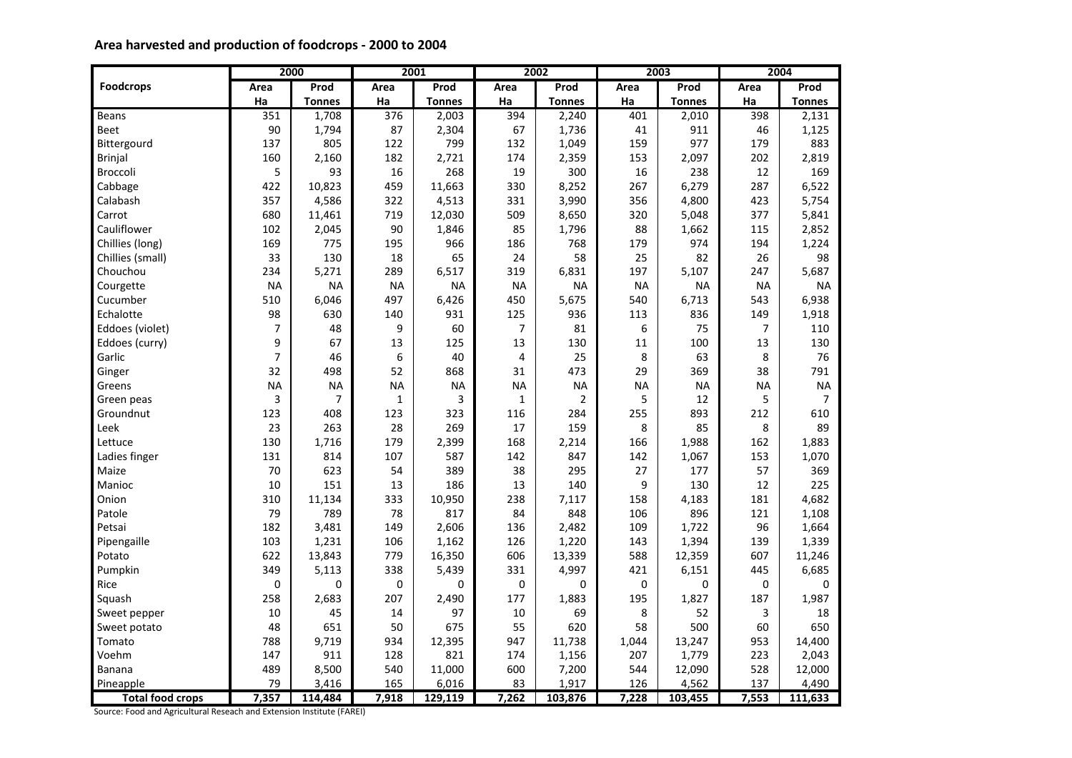# **Area harvested and production of foodcrops - 2000 to 2004**

|                         |                | 2000          |              | 2001          |                | 2002           |           | 2003          |                | 2004           |
|-------------------------|----------------|---------------|--------------|---------------|----------------|----------------|-----------|---------------|----------------|----------------|
| <b>Foodcrops</b>        | Area           | Prod          | Area         | Prod          | Area           | Prod           | Area      | Prod          | Area           | Prod           |
|                         | Ha             | <b>Tonnes</b> | Ha           | <b>Tonnes</b> | Ha             | <b>Tonnes</b>  | Ha        | <b>Tonnes</b> | Ha             | <b>Tonnes</b>  |
| Beans                   | 351            | 1,708         | 376          | 2,003         | 394            | 2,240          | 401       | 2,010         | 398            | 2,131          |
| <b>Beet</b>             | 90             | 1,794         | 87           | 2,304         | 67             | 1,736          | 41        | 911           | 46             | 1,125          |
| Bittergourd             | 137            | 805           | 122          | 799           | 132            | 1,049          | 159       | 977           | 179            | 883            |
| <b>Brinjal</b>          | 160            | 2,160         | 182          | 2,721         | 174            | 2,359          | 153       | 2,097         | 202            | 2,819          |
| Broccoli                | 5              | 93            | 16           | 268           | 19             | 300            | 16        | 238           | 12             | 169            |
| Cabbage                 | 422            | 10,823        | 459          | 11,663        | 330            | 8,252          | 267       | 6,279         | 287            | 6,522          |
| Calabash                | 357            | 4,586         | 322          | 4,513         | 331            | 3,990          | 356       | 4,800         | 423            | 5,754          |
| Carrot                  | 680            | 11,461        | 719          | 12,030        | 509            | 8,650          | 320       | 5,048         | 377            | 5,841          |
| Cauliflower             | 102            | 2,045         | 90           | 1,846         | 85             | 1,796          | 88        | 1,662         | 115            | 2,852          |
| Chillies (long)         | 169            | 775           | 195          | 966           | 186            | 768            | 179       | 974           | 194            | 1,224          |
| Chillies (small)        | 33             | 130           | 18           | 65            | 24             | 58             | 25        | 82            | 26             | 98             |
| Chouchou                | 234            | 5,271         | 289          | 6,517         | 319            | 6,831          | 197       | 5,107         | 247            | 5,687          |
| Courgette               | <b>NA</b>      | <b>NA</b>     | <b>NA</b>    | <b>NA</b>     | <b>NA</b>      | <b>NA</b>      | <b>NA</b> | <b>NA</b>     | <b>NA</b>      | <b>NA</b>      |
| Cucumber                | 510            | 6,046         | 497          | 6,426         | 450            | 5,675          | 540       | 6,713         | 543            | 6,938          |
| Echalotte               | 98             | 630           | 140          | 931           | 125            | 936            | 113       | 836           | 149            | 1,918          |
| Eddoes (violet)         | $\overline{7}$ | 48            | 9            | 60            | $\overline{7}$ | 81             | 6         | 75            | $\overline{7}$ | 110            |
| Eddoes (curry)          | 9              | 67            | 13           | 125           | 13             | 130            | 11        | 100           | 13             | 130            |
| Garlic                  | $\overline{7}$ | 46            | 6            | 40            | $\overline{4}$ | 25             | 8         | 63            | 8              | 76             |
| Ginger                  | 32             | 498           | 52           | 868           | 31             | 473            | 29        | 369           | 38             | 791            |
| Greens                  | <b>NA</b>      | <b>NA</b>     | <b>NA</b>    | <b>NA</b>     | <b>NA</b>      | <b>NA</b>      | NA        | <b>NA</b>     | <b>NA</b>      | <b>NA</b>      |
| Green peas              | 3              | 7             | $\mathbf{1}$ | 3             | $\mathbf{1}$   | $\overline{2}$ | 5         | 12            | 5              | $\overline{7}$ |
| Groundnut               | 123            | 408           | 123          | 323           | 116            | 284            | 255       | 893           | 212            | 610            |
| Leek                    | 23             | 263           | 28           | 269           | 17             | 159            | 8         | 85            | 8              | 89             |
| Lettuce                 | 130            | 1,716         | 179          | 2,399         | 168            | 2,214          | 166       | 1,988         | 162            | 1,883          |
| Ladies finger           | 131            | 814           | 107          | 587           | 142            | 847            | 142       | 1,067         | 153            | 1,070          |
| Maize                   | 70             | 623           | 54           | 389           | 38             | 295            | 27        | 177           | 57             | 369            |
| Manioc                  | 10             | 151           | 13           | 186           | 13             | 140            | 9         | 130           | 12             | 225            |
| Onion                   | 310            | 11,134        | 333          | 10,950        | 238            | 7,117          | 158       | 4,183         | 181            | 4,682          |
| Patole                  | 79             | 789           | 78           | 817           | 84             | 848            | 106       | 896           | 121            | 1,108          |
| Petsai                  | 182            | 3,481         | 149          | 2,606         | 136            | 2,482          | 109       | 1,722         | 96             | 1,664          |
| Pipengaille             | 103            | 1,231         | 106          | 1,162         | 126            | 1,220          | 143       | 1,394         | 139            | 1,339          |
| Potato                  | 622            | 13,843        | 779          | 16,350        | 606            | 13,339         | 588       | 12,359        | 607            | 11,246         |
| Pumpkin                 | 349            | 5,113         | 338          | 5,439         | 331            | 4,997          | 421       | 6,151         | 445            | 6,685          |
| Rice                    | 0              | 0             | $\mathbf 0$  | 0             | 0              | 0              | 0         | $\mathbf 0$   | $\mathbf 0$    | $\mathbf 0$    |
| Squash                  | 258            | 2,683         | 207          | 2,490         | 177            | 1,883          | 195       | 1,827         | 187            | 1,987          |
| Sweet pepper            | 10             | 45            | 14           | 97            | 10             | 69             | 8         | 52            | 3              | 18             |
| Sweet potato            | 48             | 651           | 50           | 675           | 55             | 620            | 58        | 500           | 60             | 650            |
| Tomato                  | 788            | 9,719         | 934          | 12,395        | 947            | 11,738         | 1,044     | 13,247        | 953            | 14,400         |
| Voehm                   | 147            | 911           | 128          | 821           | 174            | 1,156          | 207       | 1,779         | 223            | 2,043          |
| <b>Banana</b>           | 489            | 8,500         | 540          | 11,000        | 600            | 7,200          | 544       | 12,090        | 528            | 12,000         |
| Pineapple               | 79             | 3,416         | 165          | 6,016         | 83             | 1,917          | 126       | 4,562         | 137            | 4,490          |
| <b>Total food crops</b> | 7,357          | 114,484       | 7,918        | 129,119       | 7,262          | 103,876        | 7,228     | 103,455       | 7,553          | 111,633        |